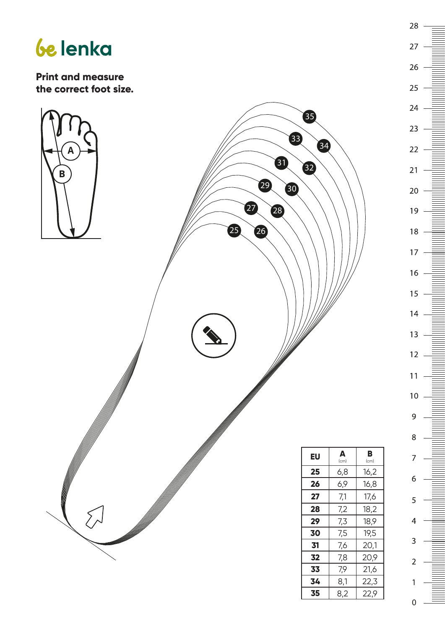



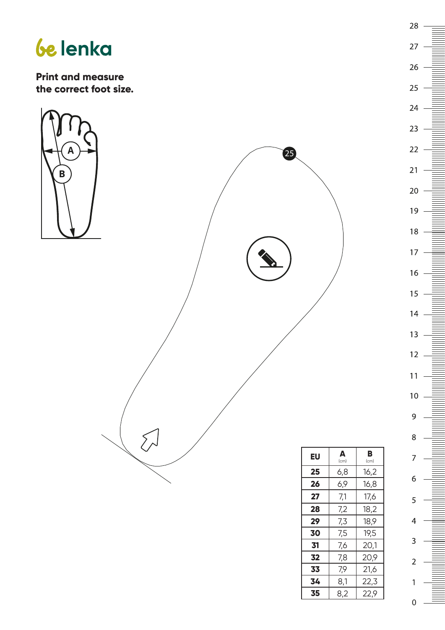## *be* lenka

**Print and measure the correct foot size.**



| ΕU | Δ<br>(cm) | в<br>(cm) |
|----|-----------|-----------|
| 25 | 6,8       | 16,2      |
| 26 | 6,9       | 16,8      |
| 27 | 7,1       | 17,6      |
| 28 | 7,2       | 18,2      |
| 29 | 7,3       | 18,9      |
| 30 | 7,5       | 19,5      |
| 31 | 7.6       | 20,1      |
| 32 | 7,8       | 20,9      |
| 33 | 7,9       | 21,6      |
| 34 | 8,1       | 22,3      |
| 35 | 8,2       | 22,9      |

0

 $\mathbf{1}$ 

 $28 -$ 

 $27<sup>2</sup>$ 

26

 $25\overline{)}$ 

 $24$ 

 $23$ 

 $22$ 

 $21 -$ 

 $20<sub>2</sub>$ 

 $19$ .

 $18 -$ 

 $17.$ 

 $16 -$ 

 $15$ 

 $14$ 

 $13 -$ 

 $12<sup>1</sup>$ 

 $11$ 

 $10<sup>1</sup>$ 

 $\overline{9}$ 

8

 $\overline{7}$ 

6

5

 $\overline{4}$ 

3

 $\overline{2}$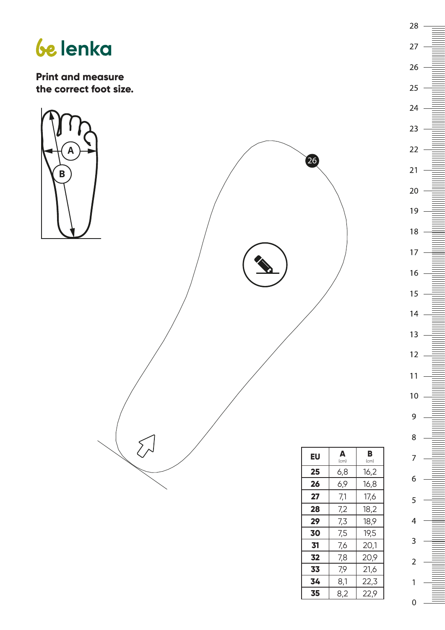





| 8,2 | 22,9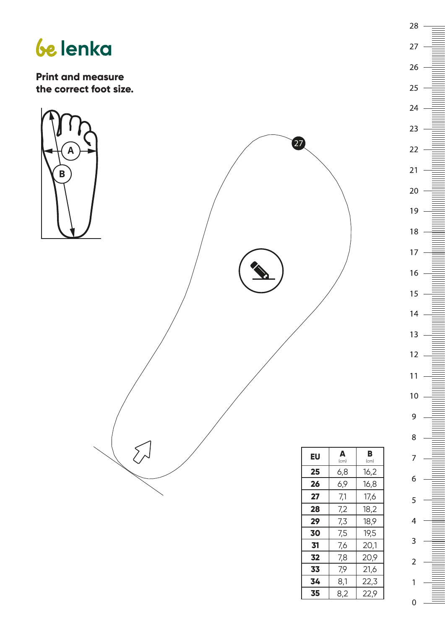



27  $26$ 25  $24 23$  $22$  $21 20<sub>2</sub>$  $19$ .  $18 17 16 15<sub>15</sub>$  $14$  $13<sup>7</sup>$  $12<sub>2</sub>$  $11$  $10<sub>1</sub>$ 9  $\,8\,$  $\overline{7}$ 6 5  $\overline{4}$ 3  $\overline{2}$  $\mathbf{1}$ 0

28

**35** | 8,2 | 22,9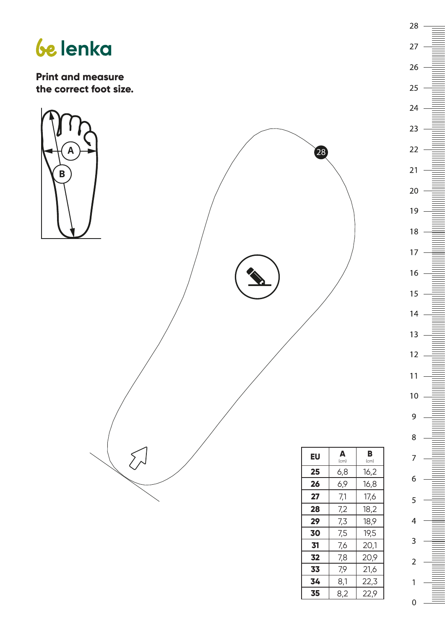



27  $26$ 25  $24 23$  $22 21 20<sub>2</sub>$  $19$ .  $18 17 16 15<sub>15</sub>$  $14$  $13<sup>7</sup>$  $12<sub>2</sub>$  $11$  $10<sup>°</sup>$ 9  $\,8\,$  $\overline{7}$ 6 5  $\overline{4}$ 3  $\overline{2}$ 1 0

28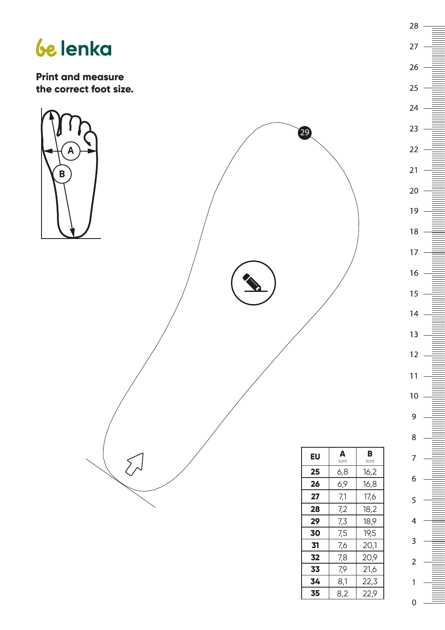



| 16             |  |
|----------------|--|
|                |  |
|                |  |
|                |  |
| 15             |  |
|                |  |
|                |  |
|                |  |
| 14             |  |
|                |  |
|                |  |
| 13<br>12       |  |
|                |  |
|                |  |
|                |  |
|                |  |
|                |  |
|                |  |
|                |  |
|                |  |
| 11             |  |
|                |  |
|                |  |
|                |  |
| 10             |  |
|                |  |
|                |  |
|                |  |
| 9              |  |
|                |  |
|                |  |
|                |  |
| 8              |  |
|                |  |
|                |  |
|                |  |
|                |  |
| 7              |  |
|                |  |
|                |  |
|                |  |
| 6              |  |
|                |  |
|                |  |
|                |  |
| 5              |  |
|                |  |
|                |  |
|                |  |
| 4              |  |
|                |  |
|                |  |
|                |  |
| 3              |  |
|                |  |
|                |  |
|                |  |
| $\overline{2}$ |  |
|                |  |
|                |  |
|                |  |
|                |  |
| 1              |  |
|                |  |
|                |  |
|                |  |
| $\overline{0}$ |  |
|                |  |

 $28 -$ 

 $22 -$ 

.

| 8,2 | 22,9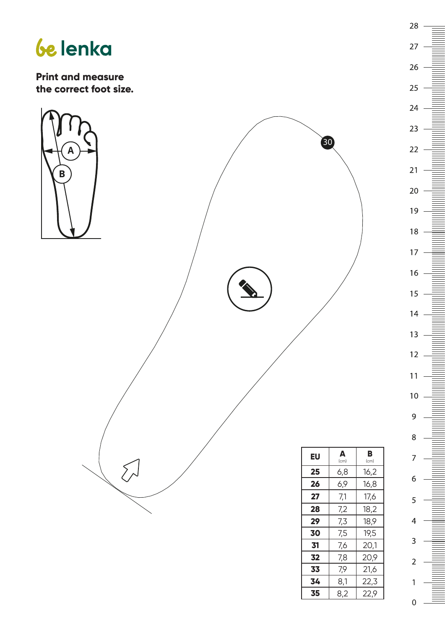



0

1

28

27

26

25

 $24 -$ 

 $23$ 

 $22$ 

 $21 -$ 

 $20<sub>2</sub>$ 

 $19$ .

 $18 -$ 

 $17 -$ 

 $16 -$ 

 $15<sub>1</sub>$ 

 $14$ 

 $13 -$ 

 $12<sub>1</sub>$ 

 $11$ 

 $10<sup>°</sup>$ 

9

 $\,8\,$ 

 $\overline{7}$ 

6

5

 $\overline{4}$ 

 $\overline{3}$ 

 $\overline{2}$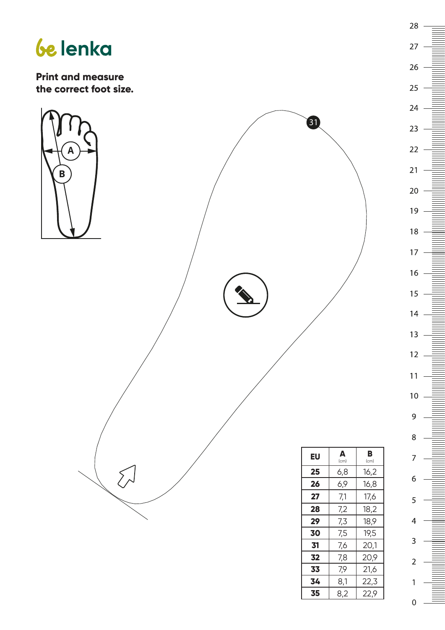

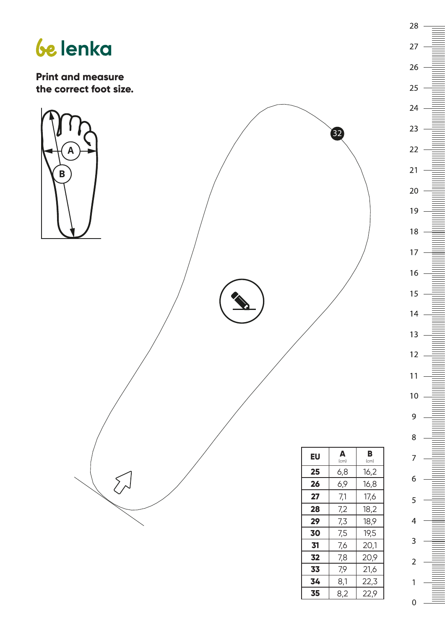



 $28 -$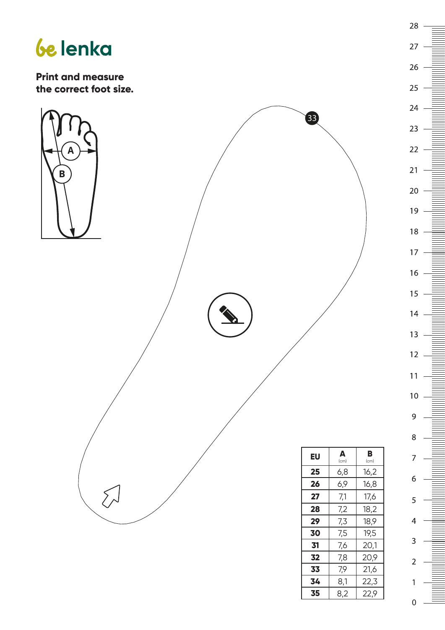



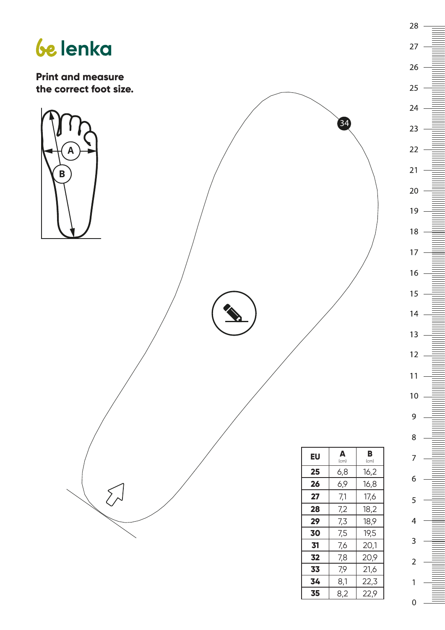